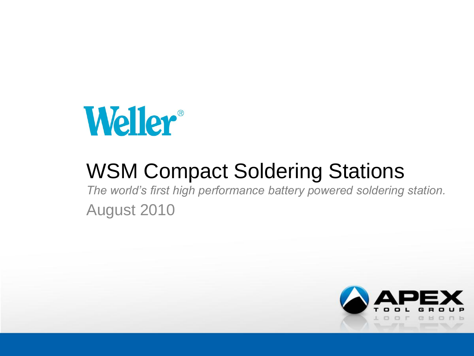

# WSM Compact Soldering Stations

*The world's first high performance battery powered soldering station.* August 2010

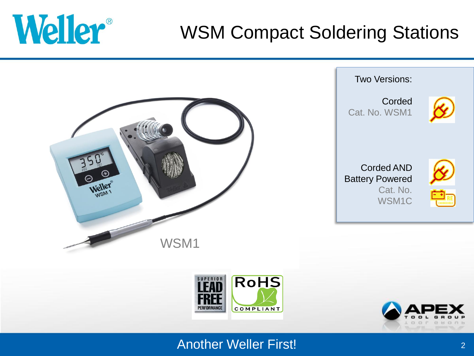

# WSM Compact Soldering Stations







#### Another Weller First!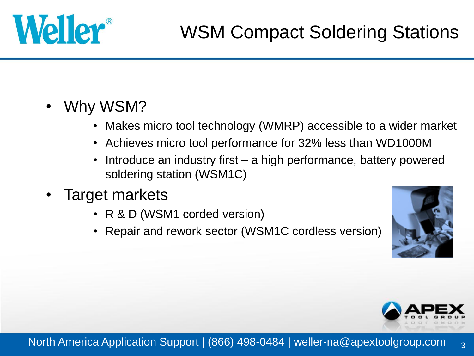

- Why WSM?
	- Makes micro tool technology (WMRP) accessible to a wider market
	- Achieves micro tool performance for 32% less than WD1000M
	- Introduce an industry first a high performance, battery powered soldering station (WSM1C)
- Target markets
	- R & D (WSM1 corded version)
	- Repair and rework sector (WSM1C cordless version)





3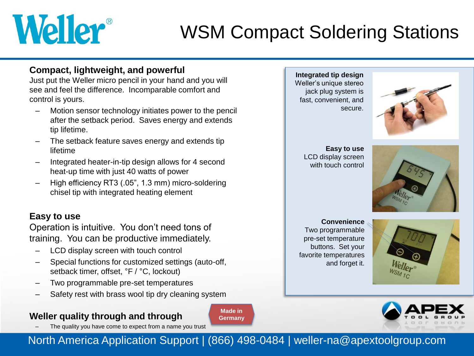# Weller®

# WSM Compact Soldering Stations

#### **Compact, lightweight, and powerful**

Just put the Weller micro pencil in your hand and you will see and feel the difference. Incomparable comfort and control is yours.

- Motion sensor technology initiates power to the pencil after the setback period. Saves energy and extends tip lifetime.
- The setback feature saves energy and extends tip lifetime
- Integrated heater-in-tip design allows for 4 second heat-up time with just 40 watts of power
- High efficiency RT3 (.05", 1.3 mm) micro-soldering chisel tip with integrated heating element

#### **Easy to use**

Operation is intuitive. You don't need tons of training. You can be productive immediately.

- LCD display screen with touch control
- Special functions for customized settings (auto-off, setback timer, offset, °F / °C, lockout)
- Two programmable pre-set temperatures
- Safety rest with brass wool tip dry cleaning system

#### **Weller quality through and through**

The quality you have come to expect from a name you trust

**Made in Germany** **Integrated tip design** Weller's unique stereo jack plug system is fast, convenient, and secure.



**Easy to use** LCD display screen with touch control



**Convenience** Two programmable pre-set temperature buttons. Set your favorite temperatures and forget it.





North America Application Support | (866) 498-0484 | weller-na@apextoolgroup.com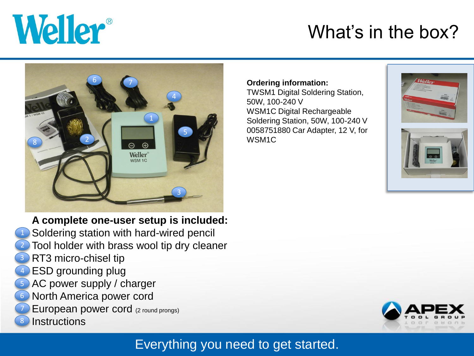

8

# What's in the box?



**A complete one-user setup is included:** Soldering station with hard-wired pencil Tool holder with brass wool tip dry cleaner RT3 micro-chisel tip ESD grounding plug AC power supply / charger North America power cord European power cord (2 round prongs) **Instructions** 6

#### **Ordering information:**

TWSM1 Digital Soldering Station, 50W, 100-240 V WSM1C Digital Rechargeable Soldering Station, 50W, 100-240 V 0058751880 Car Adapter, 12 V, for WSM1C







### Everything you need to get started.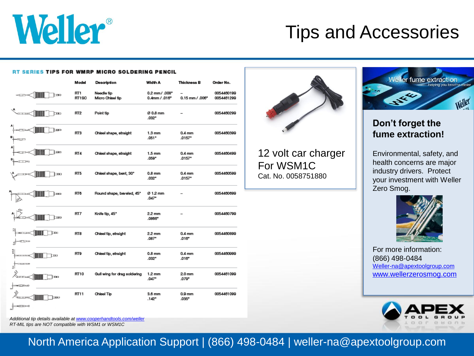

### Tips and Accessories

#### **RT SERIES TIPS FOR WMRP MICRO SOLDERING PENCIL**

|                           | Model                    | Description                    | Width A                            | <b>Thickness B</b>                        | Order No.                |
|---------------------------|--------------------------|--------------------------------|------------------------------------|-------------------------------------------|--------------------------|
| H<br>دە⊏ا                 | RT <sub>1</sub><br>RT1SC | Needle tip<br>Micro Chisel tip | 0.2 mm / .008"<br>$0.4$ mm / .016* | $0.15$ mm $/$ $.006$ <sup>*</sup>         | 0054460199<br>0054461299 |
| ⊪<br>Ьmо                  | RT <sub>2</sub>          | Point tip                      | Ø 0.8 mm<br>$.032$ *               |                                           | 0054460299               |
| m                         | RT3                      | Chisel shape, straight         | $1.3 \text{ mm}$<br>.051*          | 0.4 <sub>mm</sub><br>$.0157$ <sup>*</sup> | 0054460399               |
| <b>Turn</b>               | RT4                      | Chisel shape, straight         | $1.5$ mm<br>.059*                  | 0.4 <sub>mm</sub><br>$.0157$ <sup>*</sup> | 0054460499               |
| $\blacksquare$            | RT5                      | Chisel shape, bent, 30°        | $0.8$ mm<br>.032*                  | 0.4 <sub>mm</sub><br>$.0157$ <sup>*</sup> | 0054460599               |
| ⊨⊞                        | RT6                      | Round shape, beveled, 45°      | Ø 1.2 mm<br>.047"                  |                                           | 0054460699               |
| w                         | RT7                      | Knife tip, 45°                 | 2.2 mm<br>.0866*                   |                                           | 0054460799               |
| ևա<br><b>COLOR</b><br>3Ì  | RT8                      | Chisel tip, straight           | 2.2 mm<br>.087*                    | 0.4 <sub>mm</sub><br>.016"                | 0054460899               |
| ă<br>bю<br>$\overline{1}$ | RT9                      | Chisel tip, straight           | $0.8$ mm<br>$.032$ *               | 0.4 <sub>mm</sub><br>$.016$ <sup>*</sup>  | 0054460999               |
| m                         | RT10                     | Gull wing for drag soldering   | $1.2 \text{ mm}$<br>.047*          | 2.0 <sub>mm</sub><br>.079*                | 0054461099               |
| دستا                      | RT11                     | Chisel Tip                     | 3.6 mm<br>$.142$ <sup>*</sup>      | 0.9 <sub>mm</sub><br>.035*                | 0054461099               |
| $T \rightarrow 0$         |                          |                                |                                    |                                           |                          |



12 volt car charger For WSM1C Cat. No. 0058751880



#### **Don't forget the fume extraction!**

Environmental, safety, and health concerns are major industry drivers. Protect your investment with Weller Zero Smog.



For more information: (866) 498-0484 [Weller-na@apextoolgroup.com](mailto:Weller-na@apextoolgroup.com) [www.wellerzerosmog.com](http://www.wellerzerosmog.com/)



*Additional tip details available at [www.cooperhandtools.com/weller](http://www.cooperhandtools.com/weller) RT-MIL tips are NOT compatible with WSM1 or WSM1C*

North America Application Support | (866) 498-0484 | weller-na@apextoolgroup.com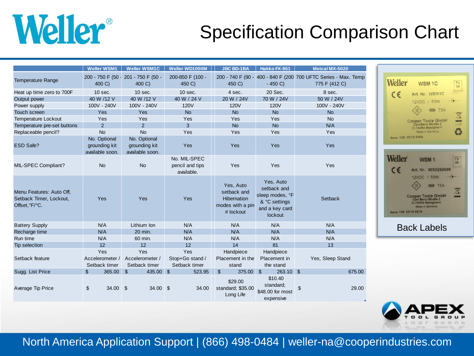

# Specification Comparison Chart

|                                                                       | <b>Weller WSM1</b>                               | <b>Weller WSM1C</b>                              | Weller WD1000M                                | <b>JBC BD-1BA</b>                                                               | Hakko FX-951                                                                              | Metcal MX-5020                                                                  |                                                                                   |
|-----------------------------------------------------------------------|--------------------------------------------------|--------------------------------------------------|-----------------------------------------------|---------------------------------------------------------------------------------|-------------------------------------------------------------------------------------------|---------------------------------------------------------------------------------|-----------------------------------------------------------------------------------|
| <b>Temperature Range</b>                                              | 200 - 750 F (50 -<br>400 C)                      | 201 - 750 F (50 -<br>400 C)                      | 200-850 F (100 -<br>450 C)                    | 450 C)                                                                          | $-450 C$                                                                                  | 200 - 740 F (90 - 400 - 840 F (200 700 UFTC Series - Max. Temp<br>775 F (412 C) | <b>Weller</b><br>WSM <sub>1</sub>                                                 |
| Heat up time zero to 700F                                             | $10$ sec.                                        | $10$ sec.                                        | $10$ sec.                                     | 4 sec.                                                                          | 20 Sec.                                                                                   | 8 sec.                                                                          | $\epsilon$<br>Art. Nr. W                                                          |
| Output power                                                          | 40 W /12 V                                       | 40 W /12 V                                       | 40 W / 24 V                                   | 20 W / 24V                                                                      | 70 W / 24V                                                                                | 50 W / 24V                                                                      | 12VDC / 5                                                                         |
| Power supply                                                          | 100V - 240V                                      | 100V - 240V                                      | <b>120V</b>                                   | <b>120V</b>                                                                     | <b>120V</b>                                                                               | 100V - 240V                                                                     |                                                                                   |
| Touch screen                                                          | Yes                                              | Yes                                              | <b>No</b>                                     | <b>No</b>                                                                       | <b>No</b>                                                                                 | <b>No</b>                                                                       | $\equiv$                                                                          |
| <b>Temperature Lockout</b>                                            | Yes                                              | Yes                                              | Yes                                           | Yes                                                                             | Yes                                                                                       | <b>No</b>                                                                       | <b>Cooper Tools</b>                                                               |
| Temperature pre-set buttons                                           | 2                                                | $\overline{2}$                                   | 3                                             | <b>No</b>                                                                       | <b>No</b>                                                                                 | N/A                                                                             | D-74354 Besi                                                                      |
| Replaceable pencil?                                                   | <b>No</b>                                        | <b>No</b>                                        | Yes                                           | Yes                                                                             | Yes                                                                                       | Yes                                                                             | Made in Gern                                                                      |
| ESD Safe?                                                             | No. Optional<br>grounding kit<br>available soon. | No. Optional<br>grounding kit<br>available soon. | Yes                                           | <b>Yes</b>                                                                      | Yes                                                                                       | Yes                                                                             | Serie: 109 05/10 0354                                                             |
| MIL-SPEC Compliant?                                                   | <b>No</b>                                        | <b>No</b>                                        | No. MIL-SPEC<br>pencil and tips<br>available. | Yes                                                                             | Yes                                                                                       | Yes                                                                             | <b>Weller</b><br><b>WSM</b><br>$C \in$<br>Art. Nr. 00                             |
| Menu Features: Auto Off,<br>Setback Timer, Lockout,<br>Offset, °F/°C. | Yes                                              | Yes                                              | Yes                                           | Yes, Auto<br>setback and<br><b>Hibernation</b><br>modes with a pin<br># lockout | Yes, Auto<br>setback and<br>sleep modes, °F<br>& °C settings<br>and a key card<br>lockout | Setback                                                                         | 12VDC / 5<br><b>Cooper Tools</b><br><b>D-74354 Besig</b><br>Serie: 109 03/10 0216 |
| <b>Battery Supply</b>                                                 | N/A                                              | Lithium Ion                                      | N/A                                           | N/A                                                                             | N/A                                                                                       | N/A                                                                             | <b>Back Lat</b>                                                                   |
| Recharge time                                                         | N/A                                              | 20 min.                                          | N/A                                           | N/A                                                                             | N/A                                                                                       | N/A                                                                             |                                                                                   |
| Run time                                                              | N/A                                              | 60 min.                                          | N/A                                           | N/A                                                                             | N/A                                                                                       | N/A                                                                             |                                                                                   |
| Tip selection                                                         | 12                                               | 12                                               | 12                                            | 14                                                                              | 81                                                                                        | 13                                                                              |                                                                                   |
|                                                                       | Yes                                              | Yes                                              | Yes                                           | Handpiece                                                                       | Handpiece                                                                                 |                                                                                 |                                                                                   |
| Setback feature                                                       | Accelerometer /                                  | Accelerometer /                                  | Stop+Go stand /                               | Placement in the                                                                | Placement in                                                                              | Yes, Sleep Stand                                                                |                                                                                   |
|                                                                       | Setback timer                                    | Setback timer                                    | Setback timer                                 | stand                                                                           | the stand                                                                                 |                                                                                 |                                                                                   |
| Sugg. List Price                                                      | $\mathfrak{S}$<br>$365.00$ \$                    | 435.00 \$                                        | 523.95                                        | $\mathfrak{S}$<br>375.00 \$                                                     | $263.10$ \$                                                                               | 675.00                                                                          |                                                                                   |
| Average Tip Price                                                     | \$<br>$34.00$ \$                                 | $34.00$ \$                                       | 34.00                                         | \$29.00<br>standard; \$35.00<br>Long Life                                       | \$10.40<br>standard;<br>\$48.00 for most<br>expensive                                     | $\mathfrak{L}$<br>29.00                                                         |                                                                                   |





North America Application Support | (866) 498-0484 | weller-na@cooperindustries.com